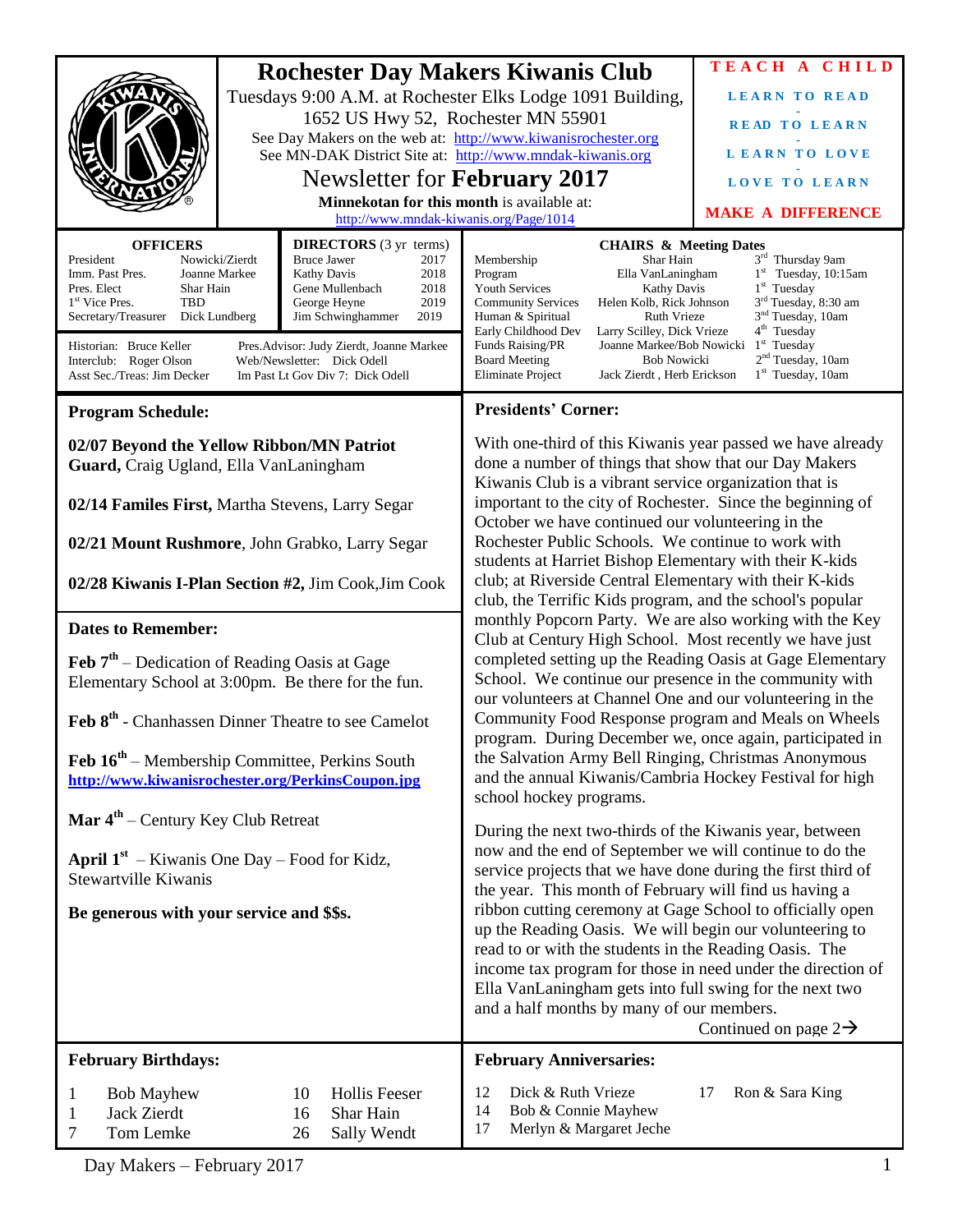|                                                                                                                                                                                                                                                                                                                                                                                                                                                                                                                                                                                    |                                                                                                       |                                                                                                                                                                                                                                                                                                                                                                                                                                                                                                                                                                                                                                                                                                                                                                                                                                                                                                                                                                                                                                                                                           | TEACH A CHILD                                                                                                                                                                                                                                 |
|------------------------------------------------------------------------------------------------------------------------------------------------------------------------------------------------------------------------------------------------------------------------------------------------------------------------------------------------------------------------------------------------------------------------------------------------------------------------------------------------------------------------------------------------------------------------------------|-------------------------------------------------------------------------------------------------------|-------------------------------------------------------------------------------------------------------------------------------------------------------------------------------------------------------------------------------------------------------------------------------------------------------------------------------------------------------------------------------------------------------------------------------------------------------------------------------------------------------------------------------------------------------------------------------------------------------------------------------------------------------------------------------------------------------------------------------------------------------------------------------------------------------------------------------------------------------------------------------------------------------------------------------------------------------------------------------------------------------------------------------------------------------------------------------------------|-----------------------------------------------------------------------------------------------------------------------------------------------------------------------------------------------------------------------------------------------|
|                                                                                                                                                                                                                                                                                                                                                                                                                                                                                                                                                                                    | <b>Rochester Day Makers Kiwanis Club</b><br>Tuesdays 9:00 A.M. at Rochester Elks Lodge 1091 Building, |                                                                                                                                                                                                                                                                                                                                                                                                                                                                                                                                                                                                                                                                                                                                                                                                                                                                                                                                                                                                                                                                                           | <b>LEARN TO READ</b>                                                                                                                                                                                                                          |
|                                                                                                                                                                                                                                                                                                                                                                                                                                                                                                                                                                                    | 1652 US Hwy 52, Rochester MN 55901<br>See Day Makers on the web at: http://www.kiwanisrochester.org   |                                                                                                                                                                                                                                                                                                                                                                                                                                                                                                                                                                                                                                                                                                                                                                                                                                                                                                                                                                                                                                                                                           | <b>READ TO LEARN</b>                                                                                                                                                                                                                          |
|                                                                                                                                                                                                                                                                                                                                                                                                                                                                                                                                                                                    | See MN-DAK District Site at: http://www.mndak-kiwanis.org                                             |                                                                                                                                                                                                                                                                                                                                                                                                                                                                                                                                                                                                                                                                                                                                                                                                                                                                                                                                                                                                                                                                                           | <b>LEARN TO LOVE</b>                                                                                                                                                                                                                          |
|                                                                                                                                                                                                                                                                                                                                                                                                                                                                                                                                                                                    | Newsletter for February 2017                                                                          |                                                                                                                                                                                                                                                                                                                                                                                                                                                                                                                                                                                                                                                                                                                                                                                                                                                                                                                                                                                                                                                                                           | <b>LOVE TO LEARN</b>                                                                                                                                                                                                                          |
| Minnekotan for this month is available at:                                                                                                                                                                                                                                                                                                                                                                                                                                                                                                                                         |                                                                                                       | http://www.mndak-kiwanis.org/Page/1014                                                                                                                                                                                                                                                                                                                                                                                                                                                                                                                                                                                                                                                                                                                                                                                                                                                                                                                                                                                                                                                    | <b>MAKE A DIFFERENCE</b>                                                                                                                                                                                                                      |
| <b>OFFICERS</b><br><b>DIRECTORS</b> (3 yr terms)<br>President<br>Nowicki/Zierdt<br><b>Bruce Jawer</b><br>2017<br>2018<br>Imm. Past Pres.<br>Joanne Markee<br><b>Kathy Davis</b><br>Gene Mullenbach<br>2018<br>Pres. Elect<br>Shar Hain<br>1 <sup>st</sup> Vice Pres.<br><b>TBD</b><br>2019<br>George Heyne<br>Dick Lundberg<br>2019<br>Secretary/Treasurer<br>Jim Schwinghammer<br>Historian: Bruce Keller<br>Pres. Advisor: Judy Zierdt, Joanne Markee<br>Interclub: Roger Olson<br>Web/Newsletter: Dick Odell<br>Asst Sec./Treas: Jim Decker<br>Im Past Lt Gov Div 7: Dick Odell |                                                                                                       | <b>CHAIRS &amp; Meeting Dates</b><br>Shar Hain<br>Membership<br>Program<br>Ella VanLaningham<br><b>Youth Services</b><br><b>Kathy Davis</b><br>Helen Kolb, Rick Johnson<br><b>Community Services</b><br>Ruth Vrieze<br>Human & Spiritual<br>Early Childhood Dev<br>Larry Scilley, Dick Vrieze<br>Funds Raising/PR<br>Joanne Markee/Bob Nowicki<br><b>Board Meeting</b><br><b>Bob Nowicki</b><br>Eliminate Project<br>Jack Zierdt, Herb Erickson                                                                                                                                                                                                                                                                                                                                                                                                                                                                                                                                                                                                                                           | $3^{\rm rd}$ Thursday 9am<br>$1st$ Tuesday, 10:15am<br>$1st$ Tuesday<br>3 <sup>rd</sup> Tuesday, 8:30 am<br>3 <sup>nd</sup> Tuesday, 10am<br>4 <sup>th</sup> Tuesday<br>$1st$ Tuesday<br>2 <sup>nd</sup> Tuesday, 10am<br>$1st$ Tuesday, 10am |
| <b>Program Schedule:</b>                                                                                                                                                                                                                                                                                                                                                                                                                                                                                                                                                           |                                                                                                       | <b>Presidents' Corner:</b>                                                                                                                                                                                                                                                                                                                                                                                                                                                                                                                                                                                                                                                                                                                                                                                                                                                                                                                                                                                                                                                                |                                                                                                                                                                                                                                               |
| 02/07 Beyond the Yellow Ribbon/MN Patriot<br>Guard, Craig Ugland, Ella VanLaningham                                                                                                                                                                                                                                                                                                                                                                                                                                                                                                |                                                                                                       | With one-third of this Kiwanis year passed we have already<br>done a number of things that show that our Day Makers<br>Kiwanis Club is a vibrant service organization that is<br>important to the city of Rochester. Since the beginning of<br>October we have continued our volunteering in the<br>Rochester Public Schools. We continue to work with<br>students at Harriet Bishop Elementary with their K-kids<br>club; at Riverside Central Elementary with their K-kids<br>club, the Terrific Kids program, and the school's popular<br>monthly Popcorn Party. We are also working with the Key<br>Club at Century High School. Most recently we have just<br>completed setting up the Reading Oasis at Gage Elementary<br>School. We continue our presence in the community with<br>our volunteers at Channel One and our volunteering in the<br>Community Food Response program and Meals on Wheels<br>program. During December we, once again, participated in<br>the Salvation Army Bell Ringing, Christmas Anonymous<br>and the annual Kiwanis/Cambria Hockey Festival for high |                                                                                                                                                                                                                                               |
| 02/14 Familes First, Martha Stevens, Larry Segar                                                                                                                                                                                                                                                                                                                                                                                                                                                                                                                                   |                                                                                                       |                                                                                                                                                                                                                                                                                                                                                                                                                                                                                                                                                                                                                                                                                                                                                                                                                                                                                                                                                                                                                                                                                           |                                                                                                                                                                                                                                               |
| 02/21 Mount Rushmore, John Grabko, Larry Segar                                                                                                                                                                                                                                                                                                                                                                                                                                                                                                                                     |                                                                                                       |                                                                                                                                                                                                                                                                                                                                                                                                                                                                                                                                                                                                                                                                                                                                                                                                                                                                                                                                                                                                                                                                                           |                                                                                                                                                                                                                                               |
| 02/28 Kiwanis I-Plan Section #2, Jim Cook, Jim Cook                                                                                                                                                                                                                                                                                                                                                                                                                                                                                                                                |                                                                                                       |                                                                                                                                                                                                                                                                                                                                                                                                                                                                                                                                                                                                                                                                                                                                                                                                                                                                                                                                                                                                                                                                                           |                                                                                                                                                                                                                                               |
| <b>Dates to Remember:</b>                                                                                                                                                                                                                                                                                                                                                                                                                                                                                                                                                          |                                                                                                       |                                                                                                                                                                                                                                                                                                                                                                                                                                                                                                                                                                                                                                                                                                                                                                                                                                                                                                                                                                                                                                                                                           |                                                                                                                                                                                                                                               |
| <b>Feb <math>7th</math></b> – Dedication of Reading Oasis at Gage<br>Elementary School at 3:00pm. Be there for the fun.                                                                                                                                                                                                                                                                                                                                                                                                                                                            |                                                                                                       |                                                                                                                                                                                                                                                                                                                                                                                                                                                                                                                                                                                                                                                                                                                                                                                                                                                                                                                                                                                                                                                                                           |                                                                                                                                                                                                                                               |
| Feb 8 <sup>th</sup> - Chanhassen Dinner Theatre to see Camelot                                                                                                                                                                                                                                                                                                                                                                                                                                                                                                                     |                                                                                                       |                                                                                                                                                                                                                                                                                                                                                                                                                                                                                                                                                                                                                                                                                                                                                                                                                                                                                                                                                                                                                                                                                           |                                                                                                                                                                                                                                               |
| Feb $16th$ – Membership Committee, Perkins South<br>http://www.kiwanisrochester.org/PerkinsCoupon.jpg                                                                                                                                                                                                                                                                                                                                                                                                                                                                              |                                                                                                       |                                                                                                                                                                                                                                                                                                                                                                                                                                                                                                                                                                                                                                                                                                                                                                                                                                                                                                                                                                                                                                                                                           |                                                                                                                                                                                                                                               |
| <b>Mar</b> $4^{\text{th}}$ – Century Key Club Retreat                                                                                                                                                                                                                                                                                                                                                                                                                                                                                                                              |                                                                                                       | school hockey programs.                                                                                                                                                                                                                                                                                                                                                                                                                                                                                                                                                                                                                                                                                                                                                                                                                                                                                                                                                                                                                                                                   |                                                                                                                                                                                                                                               |
| <b>April 1<sup>st</sup></b> – Kiwanis One Day – Food for Kidz,<br>Stewartville Kiwanis<br>Be generous with your service and \$\$s.                                                                                                                                                                                                                                                                                                                                                                                                                                                 |                                                                                                       | During the next two-thirds of the Kiwanis year, between<br>now and the end of September we will continue to do the<br>service projects that we have done during the first third of<br>the year. This month of February will find us having a<br>ribbon cutting ceremony at Gage School to officially open<br>up the Reading Oasis. We will begin our volunteering to<br>read to or with the students in the Reading Oasis. The<br>income tax program for those in need under the direction of<br>Ella VanLaningham gets into full swing for the next two<br>and a half months by many of our members.<br>Continued on page $2\rightarrow$                                                                                                                                                                                                                                                                                                                                                                                                                                                 |                                                                                                                                                                                                                                               |
| <b>February Birthdays:</b>                                                                                                                                                                                                                                                                                                                                                                                                                                                                                                                                                         |                                                                                                       | <b>February Anniversaries:</b>                                                                                                                                                                                                                                                                                                                                                                                                                                                                                                                                                                                                                                                                                                                                                                                                                                                                                                                                                                                                                                                            |                                                                                                                                                                                                                                               |
| <b>Bob Mayhew</b><br>1<br>Jack Zierdt<br>1<br>Tom Lemke<br>7                                                                                                                                                                                                                                                                                                                                                                                                                                                                                                                       | <b>Hollis Feeser</b><br>10<br>16<br>Shar Hain<br>Sally Wendt<br>26                                    | Dick & Ruth Vrieze<br>12<br>Bob & Connie Mayhew<br>14<br>Merlyn & Margaret Jeche<br>17                                                                                                                                                                                                                                                                                                                                                                                                                                                                                                                                                                                                                                                                                                                                                                                                                                                                                                                                                                                                    | Ron & Sara King<br>17                                                                                                                                                                                                                         |

Day Makers – February 2017 1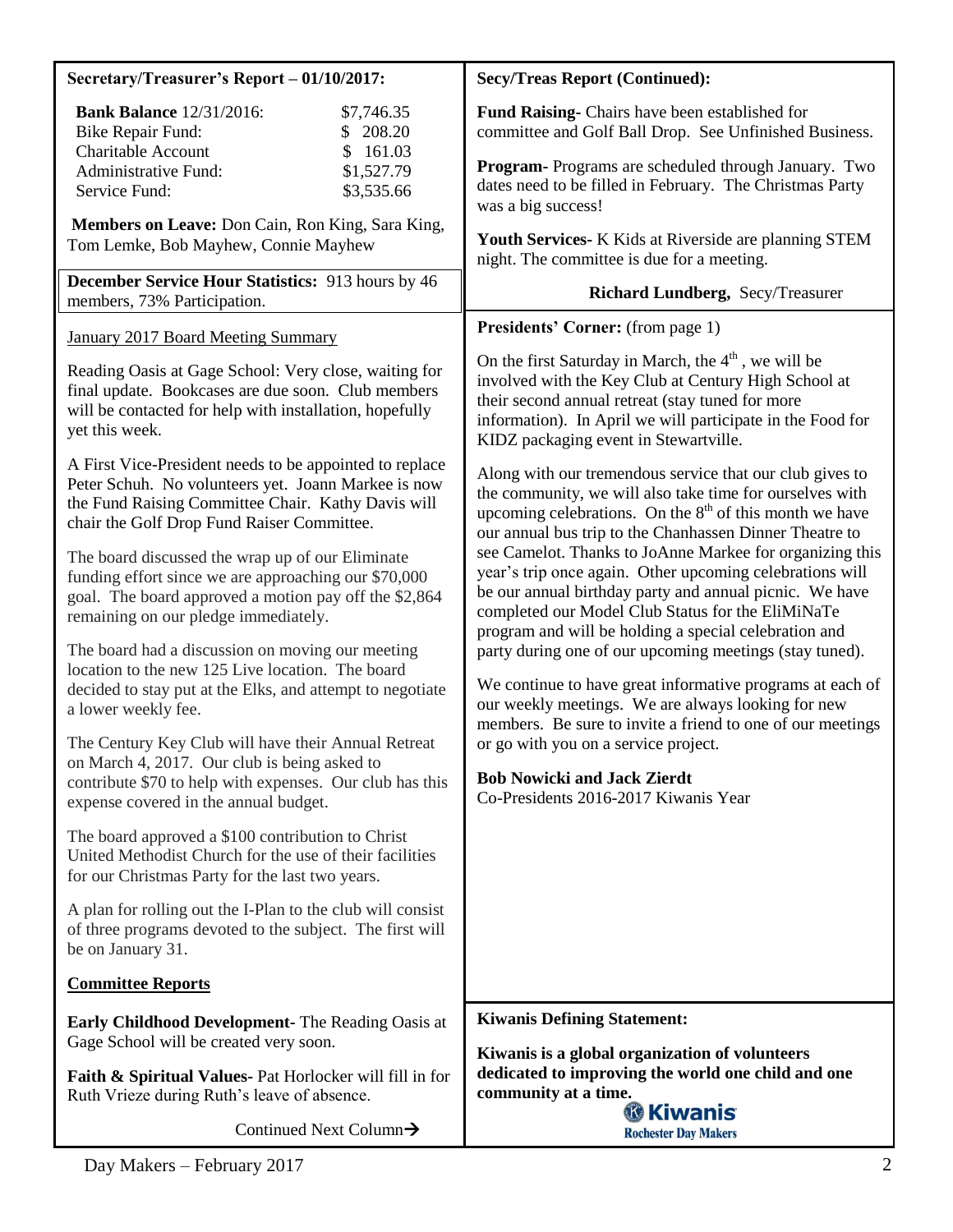| Secretary/Treasurer's Report - 01/10/2017:                                                                                                                                                                         | <b>Secy/Treas Report (Continued):</b>                                                                                                                                                                                                                                                                                                                                                                                                                                                                                                                   |  |
|--------------------------------------------------------------------------------------------------------------------------------------------------------------------------------------------------------------------|---------------------------------------------------------------------------------------------------------------------------------------------------------------------------------------------------------------------------------------------------------------------------------------------------------------------------------------------------------------------------------------------------------------------------------------------------------------------------------------------------------------------------------------------------------|--|
| <b>Bank Balance 12/31/2016:</b><br>\$7,746.35<br>Bike Repair Fund:<br>208.20                                                                                                                                       | Fund Raising- Chairs have been established for<br>committee and Golf Ball Drop. See Unfinished Business.                                                                                                                                                                                                                                                                                                                                                                                                                                                |  |
| <b>Charitable Account</b><br>161.03<br>\$<br>Administrative Fund:<br>\$1,527.79<br>Service Fund:<br>\$3,535.66                                                                                                     | Program-Programs are scheduled through January. Two<br>dates need to be filled in February. The Christmas Party<br>was a big success!                                                                                                                                                                                                                                                                                                                                                                                                                   |  |
| Members on Leave: Don Cain, Ron King, Sara King,<br>Tom Lemke, Bob Mayhew, Connie Mayhew                                                                                                                           | Youth Services- K Kids at Riverside are planning STEM<br>night. The committee is due for a meeting.                                                                                                                                                                                                                                                                                                                                                                                                                                                     |  |
| December Service Hour Statistics: 913 hours by 46<br>members, 73% Participation.                                                                                                                                   | Richard Lundberg, Secy/Treasurer                                                                                                                                                                                                                                                                                                                                                                                                                                                                                                                        |  |
| <b>January 2017 Board Meeting Summary</b>                                                                                                                                                                          | Presidents' Corner: (from page 1)                                                                                                                                                                                                                                                                                                                                                                                                                                                                                                                       |  |
| Reading Oasis at Gage School: Very close, waiting for<br>final update. Bookcases are due soon. Club members<br>will be contacted for help with installation, hopefully<br>yet this week.                           | On the first Saturday in March, the $4th$ , we will be<br>involved with the Key Club at Century High School at<br>their second annual retreat (stay tuned for more<br>information). In April we will participate in the Food for<br>KIDZ packaging event in Stewartville.                                                                                                                                                                                                                                                                               |  |
| A First Vice-President needs to be appointed to replace<br>Peter Schuh. No volunteers yet. Joann Markee is now<br>the Fund Raising Committee Chair. Kathy Davis will<br>chair the Golf Drop Fund Raiser Committee. | Along with our tremendous service that our club gives to<br>the community, we will also take time for ourselves with<br>upcoming celebrations. On the 8 <sup>th</sup> of this month we have<br>our annual bus trip to the Chanhassen Dinner Theatre to<br>see Camelot. Thanks to JoAnne Markee for organizing this<br>year's trip once again. Other upcoming celebrations will<br>be our annual birthday party and annual picnic. We have<br>completed our Model Club Status for the EliMiNaTe<br>program and will be holding a special celebration and |  |
| The board discussed the wrap up of our Eliminate<br>funding effort since we are approaching our \$70,000<br>goal. The board approved a motion pay off the \$2,864<br>remaining on our pledge immediately.          |                                                                                                                                                                                                                                                                                                                                                                                                                                                                                                                                                         |  |
| The board had a discussion on moving our meeting<br>location to the new 125 Live location. The board<br>decided to stay put at the Elks, and attempt to negotiate<br>a lower weekly fee.                           | party during one of our upcoming meetings (stay tuned).<br>We continue to have great informative programs at each of<br>our weekly meetings. We are always looking for new<br>members. Be sure to invite a friend to one of our meetings                                                                                                                                                                                                                                                                                                                |  |
| The Century Key Club will have their Annual Retreat<br>on March 4, 2017. Our club is being asked to<br>contribute \$70 to help with expenses. Our club has this<br>expense covered in the annual budget.           | or go with you on a service project.<br><b>Bob Nowicki and Jack Zierdt</b><br>Co-Presidents 2016-2017 Kiwanis Year                                                                                                                                                                                                                                                                                                                                                                                                                                      |  |
| The board approved a \$100 contribution to Christ<br>United Methodist Church for the use of their facilities<br>for our Christmas Party for the last two years.                                                    |                                                                                                                                                                                                                                                                                                                                                                                                                                                                                                                                                         |  |
| A plan for rolling out the I-Plan to the club will consist<br>of three programs devoted to the subject. The first will<br>be on January 31.                                                                        |                                                                                                                                                                                                                                                                                                                                                                                                                                                                                                                                                         |  |
| <b>Committee Reports</b>                                                                                                                                                                                           |                                                                                                                                                                                                                                                                                                                                                                                                                                                                                                                                                         |  |
| <b>Early Childhood Development-</b> The Reading Oasis at<br>Gage School will be created very soon.                                                                                                                 | <b>Kiwanis Defining Statement:</b>                                                                                                                                                                                                                                                                                                                                                                                                                                                                                                                      |  |
| Faith & Spiritual Values-Pat Horlocker will fill in for<br>Ruth Vrieze during Ruth's leave of absence.                                                                                                             | Kiwanis is a global organization of volunteers<br>dedicated to improving the world one child and one<br>community at a time.<br><b>®Kiwanis</b>                                                                                                                                                                                                                                                                                                                                                                                                         |  |
| Continued Next Column $\rightarrow$                                                                                                                                                                                | <b>Rochester Day Makers</b>                                                                                                                                                                                                                                                                                                                                                                                                                                                                                                                             |  |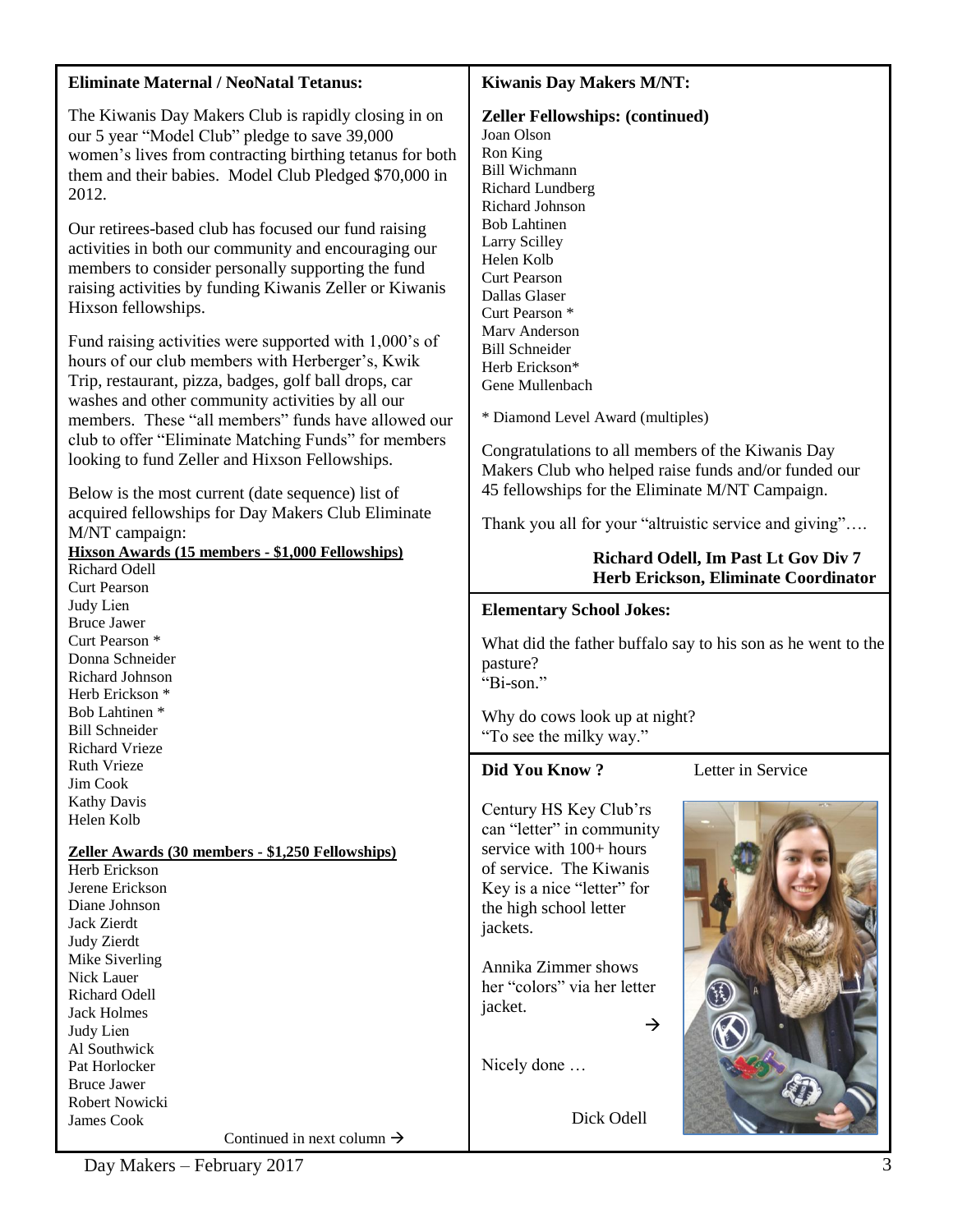| <b>Eliminate Maternal / NeoNatal Tetanus:</b>                                                                                                                                                                                                        | <b>Kiwanis Day Makers M/NT:</b>                                                                                                                                                                                                                                                                                                                   |  |
|------------------------------------------------------------------------------------------------------------------------------------------------------------------------------------------------------------------------------------------------------|---------------------------------------------------------------------------------------------------------------------------------------------------------------------------------------------------------------------------------------------------------------------------------------------------------------------------------------------------|--|
| The Kiwanis Day Makers Club is rapidly closing in on<br>our 5 year "Model Club" pledge to save 39,000<br>women's lives from contracting birthing tetanus for both<br>them and their babies. Model Club Pledged \$70,000 in<br>2012.                  | <b>Zeller Fellowships: (continued)</b><br>Joan Olson<br>Ron King<br><b>Bill Wichmann</b><br>Richard Lundberg<br>Richard Johnson                                                                                                                                                                                                                   |  |
| Our retirees-based club has focused our fund raising<br>activities in both our community and encouraging our<br>members to consider personally supporting the fund<br>raising activities by funding Kiwanis Zeller or Kiwanis<br>Hixson fellowships. | <b>Bob Lahtinen</b><br>Larry Scilley<br>Helen Kolb<br><b>Curt Pearson</b><br>Dallas Glaser<br>Curt Pearson *<br>Marv Anderson                                                                                                                                                                                                                     |  |
| Fund raising activities were supported with 1,000's of<br>hours of our club members with Herberger's, Kwik<br>Trip, restaurant, pizza, badges, golf ball drops, car<br>washes and other community activities by all our                              | <b>Bill Schneider</b><br>Herb Erickson*<br>Gene Mullenbach                                                                                                                                                                                                                                                                                        |  |
| members. These "all members" funds have allowed our<br>club to offer "Eliminate Matching Funds" for members<br>looking to fund Zeller and Hixson Fellowships.                                                                                        | * Diamond Level Award (multiples)<br>Congratulations to all members of the Kiwanis Day<br>Makers Club who helped raise funds and/or funded our<br>45 fellowships for the Eliminate M/NT Campaign.<br>Thank you all for your "altruistic service and giving"<br><b>Richard Odell, Im Past Lt Gov Div 7</b><br>Herb Erickson, Eliminate Coordinator |  |
| Below is the most current (date sequence) list of<br>acquired fellowships for Day Makers Club Eliminate<br>M/NT campaign:<br>Hixson Awards (15 members - \$1,000 Fellowships)                                                                        |                                                                                                                                                                                                                                                                                                                                                   |  |
| Richard Odell<br><b>Curt Pearson</b>                                                                                                                                                                                                                 |                                                                                                                                                                                                                                                                                                                                                   |  |
| Judy Lien                                                                                                                                                                                                                                            | <b>Elementary School Jokes:</b>                                                                                                                                                                                                                                                                                                                   |  |
| <b>Bruce Jawer</b><br>Curt Pearson *<br>Donna Schneider                                                                                                                                                                                              | What did the father buffalo say to his son as he went to the<br>pasture?                                                                                                                                                                                                                                                                          |  |
| Richard Johnson<br>Herb Erickson *<br>Bob Lahtinen *                                                                                                                                                                                                 | "Bi-son."<br>Why do cows look up at night?                                                                                                                                                                                                                                                                                                        |  |
| <b>Bill Schneider</b>                                                                                                                                                                                                                                | "To see the milky way."                                                                                                                                                                                                                                                                                                                           |  |
| <b>Richard Vrieze</b><br><b>Ruth Vrieze</b>                                                                                                                                                                                                          |                                                                                                                                                                                                                                                                                                                                                   |  |
| Jim Cook                                                                                                                                                                                                                                             | <b>Did You Know?</b><br>Letter in Service                                                                                                                                                                                                                                                                                                         |  |
| <b>Kathy Davis</b><br>Helen Kolb                                                                                                                                                                                                                     | Century HS Key Club'rs<br>can "letter" in community                                                                                                                                                                                                                                                                                               |  |
| <b>Zeller Awards (30 members - \$1,250 Fellowships)</b><br>Herb Erickson<br>Jerene Erickson<br>Diane Johnson<br>Jack Zierdt<br><b>Judy Zierdt</b>                                                                                                    | service with 100+ hours<br>of service. The Kiwanis<br>Key is a nice "letter" for<br>the high school letter<br>jackets.                                                                                                                                                                                                                            |  |
| Mike Siverling<br>Nick Lauer<br>Richard Odell<br><b>Jack Holmes</b><br>Judy Lien<br>Al Southwick                                                                                                                                                     | Annika Zimmer shows<br>her "colors" via her letter<br>jacket.<br>$\rightarrow$                                                                                                                                                                                                                                                                    |  |
| Pat Horlocker<br><b>Bruce Jawer</b>                                                                                                                                                                                                                  | Nicely done                                                                                                                                                                                                                                                                                                                                       |  |
| Robert Nowicki<br>James Cook                                                                                                                                                                                                                         | Dick Odell                                                                                                                                                                                                                                                                                                                                        |  |
| Continued in next column $\rightarrow$                                                                                                                                                                                                               |                                                                                                                                                                                                                                                                                                                                                   |  |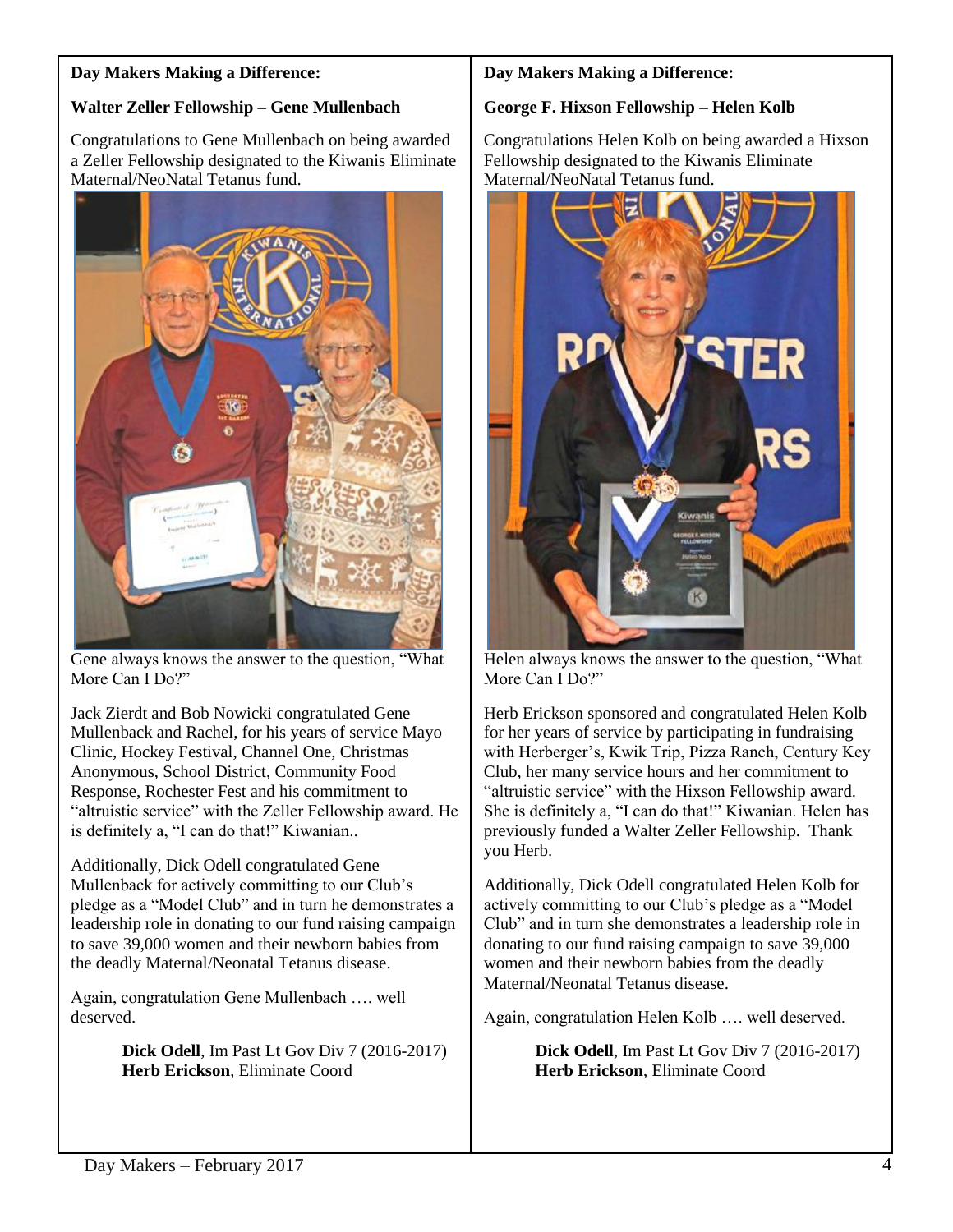## **Day Makers Making a Difference:**

# **Walter Zeller Fellowship – Gene Mullenbach**

Congratulations to Gene Mullenbach on being awarded a Zeller Fellowship designated to the Kiwanis Eliminate Maternal/NeoNatal Tetanus fund.



Gene always knows the answer to the question, "What More Can I Do?"

Jack Zierdt and Bob Nowicki congratulated Gene Mullenback and Rachel, for his years of service Mayo Clinic, Hockey Festival, Channel One, Christmas Anonymous, School District, Community Food Response, Rochester Fest and his commitment to "altruistic service" with the Zeller Fellowship award. He is definitely a, "I can do that!" Kiwanian..

Additionally, Dick Odell congratulated Gene Mullenback for actively committing to our Club's pledge as a "Model Club" and in turn he demonstrates a leadership role in donating to our fund raising campaign to save 39,000 women and their newborn babies from the deadly Maternal/Neonatal Tetanus disease.

Again, congratulation Gene Mullenbach …. well deserved.

> **Dick Odell**, Im Past Lt Gov Div 7 (2016-2017)  **Herb Erickson**, Eliminate Coord

## **Day Makers Making a Difference:**

## **George F. Hixson Fellowship – Helen Kolb**

Congratulations Helen Kolb on being awarded a Hixson Fellowship designated to the Kiwanis Eliminate Maternal/NeoNatal Tetanus fund.



Helen always knows the answer to the question, "What More Can I Do?"

Herb Erickson sponsored and congratulated Helen Kolb for her years of service by participating in fundraising with Herberger's, Kwik Trip, Pizza Ranch, Century Key Club, her many service hours and her commitment to "altruistic service" with the Hixson Fellowship award. She is definitely a, "I can do that!" Kiwanian. Helen has previously funded a Walter Zeller Fellowship. Thank you Herb.

Additionally, Dick Odell congratulated Helen Kolb for actively committing to our Club's pledge as a "Model Club" and in turn she demonstrates a leadership role in donating to our fund raising campaign to save 39,000 women and their newborn babies from the deadly Maternal/Neonatal Tetanus disease.

Again, congratulation Helen Kolb …. well deserved.

 **Dick Odell**, Im Past Lt Gov Div 7 (2016-2017)  **Herb Erickson**, Eliminate Coord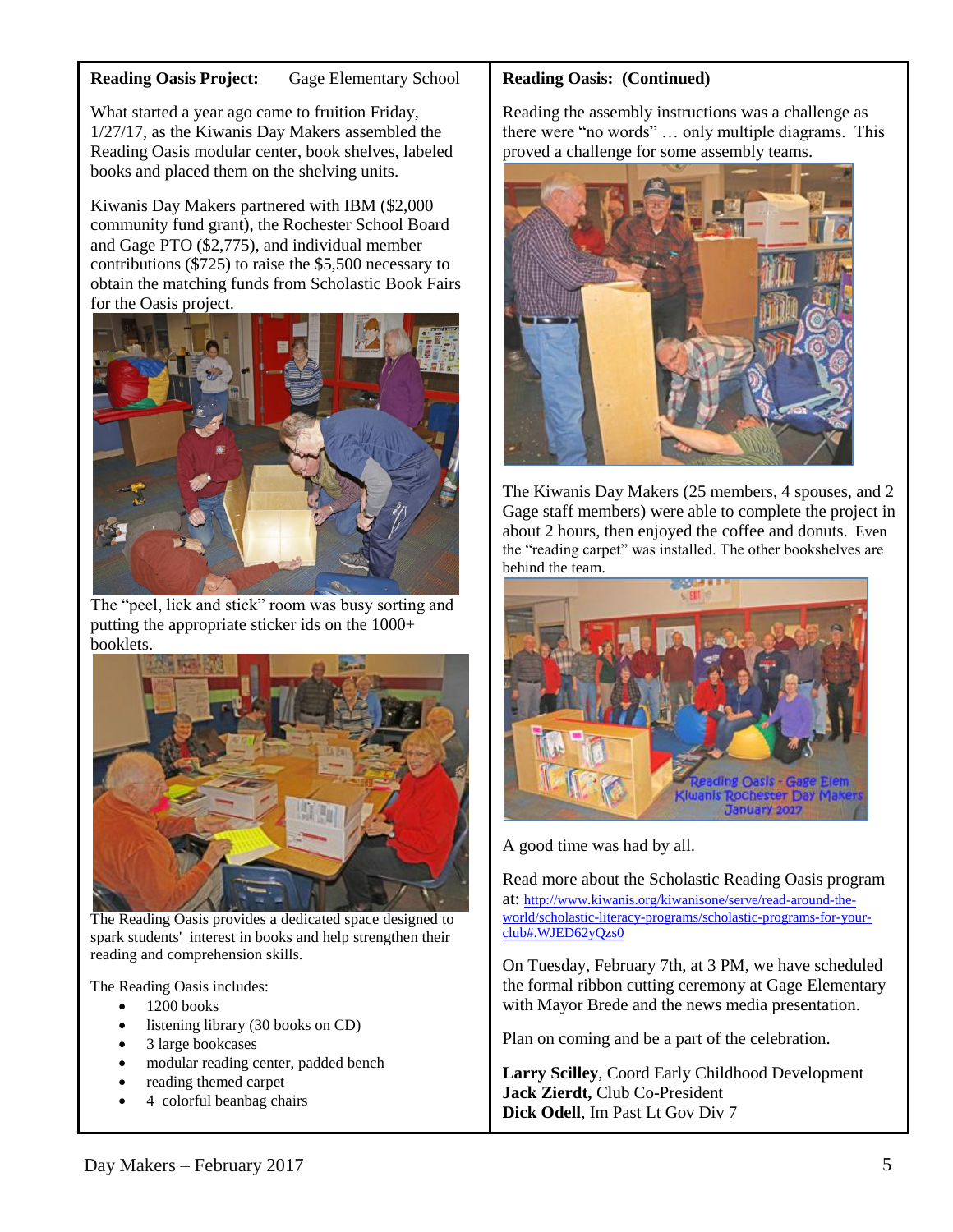### **Reading Oasis Project:** Gage Elementary School

What started a year ago came to fruition Friday, 1/27/17, as the Kiwanis Day Makers assembled the Reading Oasis modular center, book shelves, labeled books and placed them on the shelving units.

Kiwanis Day Makers partnered with IBM (\$2,000 community fund grant), the Rochester School Board and Gage PTO (\$2,775), and individual member contributions (\$725) to raise the \$5,500 necessary to obtain the matching funds from Scholastic Book Fairs for the Oasis project.



The "peel, lick and stick" room was busy sorting and putting the appropriate sticker ids on the 1000+ booklets.



The Reading Oasis provides a dedicated space designed to spark students' interest in books and help strengthen their reading and comprehension skills.

The Reading Oasis includes:

- 1200 books
- listening library (30 books on CD)
- 3 large bookcases
- modular reading center, padded bench
- reading themed carpet
- 4 colorful beanbag chairs

## **Reading Oasis: (Continued)**

Reading the assembly instructions was a challenge as there were "no words" … only multiple diagrams. This proved a challenge for some assembly teams.



The Kiwanis Day Makers (25 members, 4 spouses, and 2 Gage staff members) were able to complete the project in about 2 hours, then enjoyed the coffee and donuts. Even the "reading carpet" was installed. The other bookshelves are behind the team.

![](_page_4_Picture_18.jpeg)

A good time was had by all.

Read more about the Scholastic Reading Oasis program at: [http://www.kiwanis.org/kiwanisone/serve/read-around-the](http://www.kiwanis.org/kiwanisone/serve/read-around-the-world/scholastic-literacy-programs/scholastic-programs-for-your-club#.WJED62yQzs0)[world/scholastic-literacy-programs/scholastic-programs-for-your](http://www.kiwanis.org/kiwanisone/serve/read-around-the-world/scholastic-literacy-programs/scholastic-programs-for-your-club#.WJED62yQzs0)[club#.WJED62yQzs0](http://www.kiwanis.org/kiwanisone/serve/read-around-the-world/scholastic-literacy-programs/scholastic-programs-for-your-club#.WJED62yQzs0)

On Tuesday, February 7th, at 3 PM, we have scheduled the formal ribbon cutting ceremony at Gage Elementary with Mayor Brede and the news media presentation.

Plan on coming and be a part of the celebration.

**Larry Scilley**, Coord Early Childhood Development **Jack Zierdt,** Club Co-President **Dick Odell**, Im Past Lt Gov Div 7